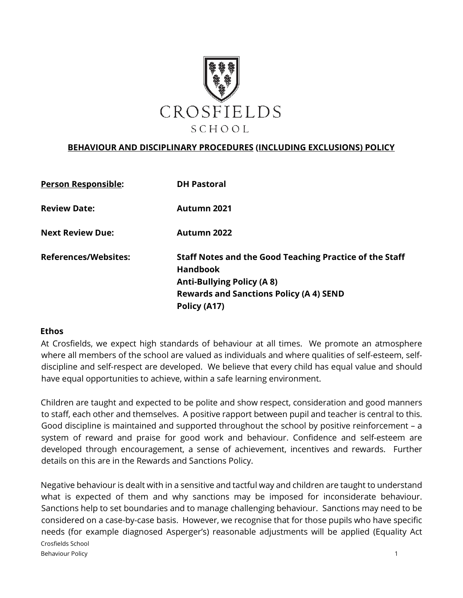

#### **BEHAVIOUR AND DISCIPLINARY PROCEDURES (INCLUDING EXCLUSIONS) POLICY**

| Staff Notes and the Good Teaching Practice of the Staff |
|---------------------------------------------------------|
| <b>Rewards and Sanctions Policy (A 4) SEND</b>          |
|                                                         |

#### **Ethos**

At Crosfields, we expect high standards of behaviour at all times. We promote an atmosphere where all members of the school are valued as individuals and where qualities of self-esteem, selfdiscipline and self-respect are developed. We believe that every child has equal value and should have equal opportunities to achieve, within a safe learning environment.

Children are taught and expected to be polite and show respect, consideration and good manners to staff, each other and themselves. A positive rapport between pupil and teacher is central to this. Good discipline is maintained and supported throughout the school by positive reinforcement – a system of reward and praise for good work and behaviour. Confidence and self-esteem are developed through encouragement, a sense of achievement, incentives and rewards. Further details on this are in the Rewards and Sanctions Policy.

Crosfields School Behaviour Policy 2008 and 2008 and 2008 and 2008 and 2008 and 2008 and 2008 and 2008 and 2008 and 2008 and 200 Negative behaviour is dealt with in a sensitive and tactful way and children are taught to understand what is expected of them and why sanctions may be imposed for inconsiderate behaviour. Sanctions help to set boundaries and to manage challenging behaviour. Sanctions may need to be considered on a case-by-case basis. However, we recognise that for those pupils who have specific needs (for example diagnosed Asperger's) reasonable adjustments will be applied (Equality Act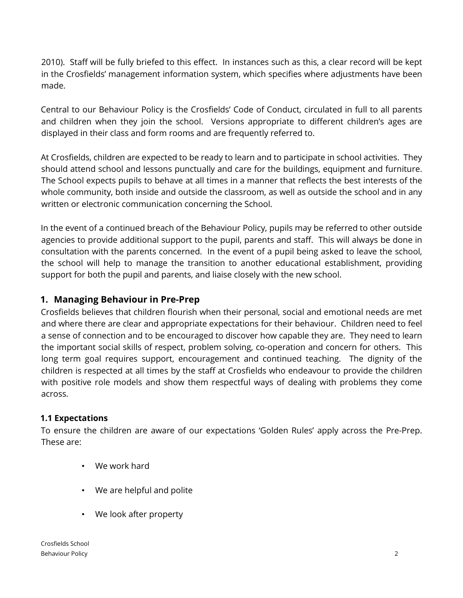2010). Staff will be fully briefed to this effect. In instances such as this, a clear record will be kept in the Crosfields' management information system, which specifies where adjustments have been made.

Central to our Behaviour Policy is the Crosfields' Code of Conduct, circulated in full to all parents and children when they join the school. Versions appropriate to different children's ages are displayed in their class and form rooms and are frequently referred to.

At Crosfields, children are expected to be ready to learn and to participate in school activities. They should attend school and lessons punctually and care for the buildings, equipment and furniture. The School expects pupils to behave at all times in a manner that reflects the best interests of the whole community, both inside and outside the classroom, as well as outside the school and in any written or electronic communication concerning the School.

In the event of a continued breach of the Behaviour Policy, pupils may be referred to other outside agencies to provide additional support to the pupil, parents and staff. This will always be done in consultation with the parents concerned. In the event of a pupil being asked to leave the school, the school will help to manage the transition to another educational establishment, providing support for both the pupil and parents, and liaise closely with the new school.

### **1. Managing Behaviour in Pre-Prep**

Crosfields believes that children flourish when their personal, social and emotional needs are met and where there are clear and appropriate expectations for their behaviour. Children need to feel a sense of connection and to be encouraged to discover how capable they are. They need to learn the important social skills of respect, problem solving, co-operation and concern for others. This long term goal requires support, encouragement and continued teaching. The dignity of the children is respected at all times by the staff at Crosfields who endeavour to provide the children with positive role models and show them respectful ways of dealing with problems they come across.

#### **1.1 Expectations**

To ensure the children are aware of our expectations 'Golden Rules' apply across the Pre-Prep. These are:

- We work hard
- We are helpful and polite
- We look after property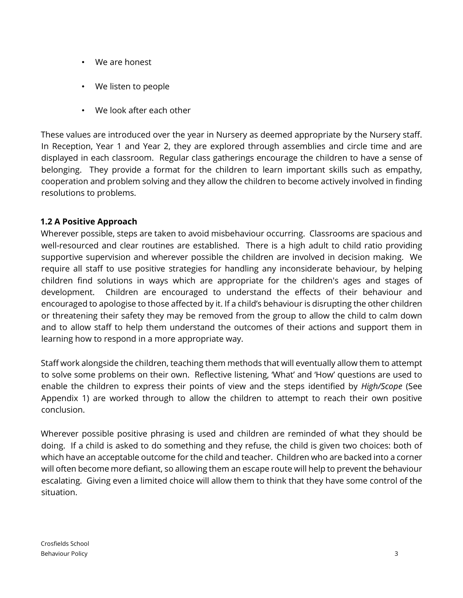- We are honest
- We listen to people
- We look after each other

These values are introduced over the year in Nursery as deemed appropriate by the Nursery staff. In Reception, Year 1 and Year 2, they are explored through assemblies and circle time and are displayed in each classroom. Regular class gatherings encourage the children to have a sense of belonging. They provide a format for the children to learn important skills such as empathy, cooperation and problem solving and they allow the children to become actively involved in finding resolutions to problems.

### **1.2 A Positive Approach**

Wherever possible, steps are taken to avoid misbehaviour occurring. Classrooms are spacious and well-resourced and clear routines are established. There is a high adult to child ratio providing supportive supervision and wherever possible the children are involved in decision making. We require all staff to use positive strategies for handling any inconsiderate behaviour, by helping children find solutions in ways which are appropriate for the children's ages and stages of development. Children are encouraged to understand the effects of their behaviour and encouraged to apologise to those affected by it. If a child's behaviour is disrupting the other children or threatening their safety they may be removed from the group to allow the child to calm down and to allow staff to help them understand the outcomes of their actions and support them in learning how to respond in a more appropriate way.

Staff work alongside the children, teaching them methods that will eventually allow them to attempt to solve some problems on their own. Reflective listening, 'What' and 'How' questions are used to enable the children to express their points of view and the steps identified by *High/Scope* (See Appendix 1) are worked through to allow the children to attempt to reach their own positive conclusion.

Wherever possible positive phrasing is used and children are reminded of what they should be doing. If a child is asked to do something and they refuse, the child is given two choices: both of which have an acceptable outcome for the child and teacher. Children who are backed into a corner will often become more defiant, so allowing them an escape route will help to prevent the behaviour escalating. Giving even a limited choice will allow them to think that they have some control of the situation.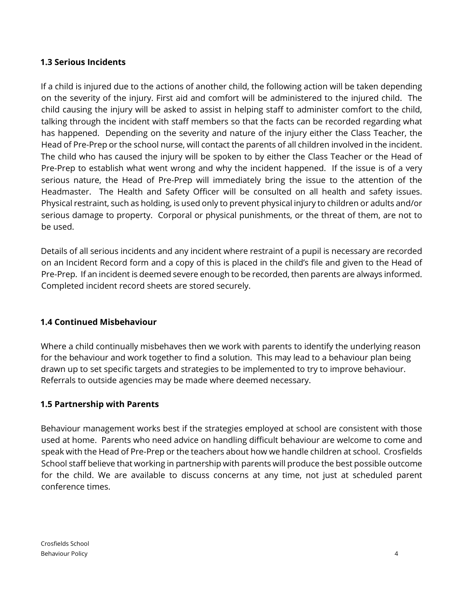### **1.3 Serious Incidents**

If a child is injured due to the actions of another child, the following action will be taken depending on the severity of the injury. First aid and comfort will be administered to the injured child. The child causing the injury will be asked to assist in helping staff to administer comfort to the child, talking through the incident with staff members so that the facts can be recorded regarding what has happened. Depending on the severity and nature of the injury either the Class Teacher, the Head of Pre-Prep or the school nurse, will contact the parents of all children involved in the incident. The child who has caused the injury will be spoken to by either the Class Teacher or the Head of Pre-Prep to establish what went wrong and why the incident happened. If the issue is of a very serious nature, the Head of Pre-Prep will immediately bring the issue to the attention of the Headmaster. The Health and Safety Officer will be consulted on all health and safety issues. Physical restraint, such as holding, is used only to prevent physical injury to children or adults and/or serious damage to property. Corporal or physical punishments, or the threat of them, are not to be used.

Details of all serious incidents and any incident where restraint of a pupil is necessary are recorded on an Incident Record form and a copy of this is placed in the child's file and given to the Head of Pre-Prep. If an incident is deemed severe enough to be recorded, then parents are always informed. Completed incident record sheets are stored securely.

#### **1.4 Continued Misbehaviour**

Where a child continually misbehaves then we work with parents to identify the underlying reason for the behaviour and work together to find a solution. This may lead to a behaviour plan being drawn up to set specific targets and strategies to be implemented to try to improve behaviour. Referrals to outside agencies may be made where deemed necessary.

#### **1.5 Partnership with Parents**

Behaviour management works best if the strategies employed at school are consistent with those used at home. Parents who need advice on handling difficult behaviour are welcome to come and speak with the Head of Pre-Prep or the teachers about how we handle children at school. Crosfields School staff believe that working in partnership with parents will produce the best possible outcome for the child. We are available to discuss concerns at any time, not just at scheduled parent conference times.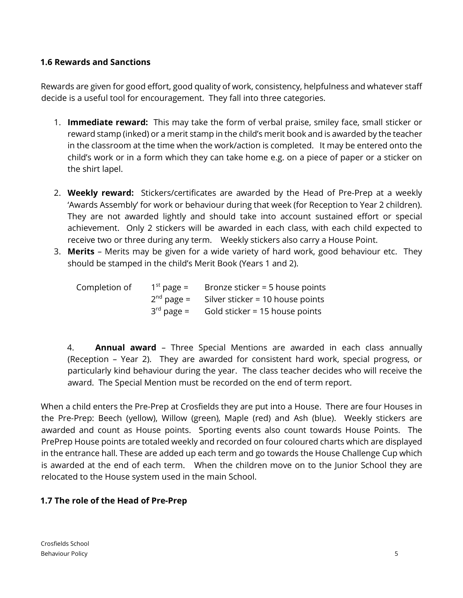### **1.6 Rewards and Sanctions**

Rewards are given for good effort, good quality of work, consistency, helpfulness and whatever staff decide is a useful tool for encouragement. They fall into three categories.

- 1. **Immediate reward:** This may take the form of verbal praise, smiley face, small sticker or reward stamp (inked) or a merit stamp in the child's merit book and is awarded by the teacher in the classroom at the time when the work/action is completed. It may be entered onto the child's work or in a form which they can take home e.g. on a piece of paper or a sticker on the shirt lapel.
- 2. **Weekly reward:** Stickers/certificates are awarded by the Head of Pre-Prep at a weekly 'Awards Assembly' for work or behaviour during that week (for Reception to Year 2 children). They are not awarded lightly and should take into account sustained effort or special achievement. Only 2 stickers will be awarded in each class, with each child expected to receive two or three during any term. Weekly stickers also carry a House Point.
- 3. **Merits** Merits may be given for a wide variety of hard work, good behaviour etc. They should be stamped in the child's Merit Book (Years 1 and 2).

| Completion of | $1st$ page = | Bronze sticker = 5 house points  |
|---------------|--------------|----------------------------------|
|               | $2nd$ page = | Silver sticker = 10 house points |
|               | $3rd$ page = | Gold sticker = 15 house points   |

4. **Annual award** – Three Special Mentions are awarded in each class annually (Reception – Year 2). They are awarded for consistent hard work, special progress, or particularly kind behaviour during the year. The class teacher decides who will receive the award. The Special Mention must be recorded on the end of term report.

When a child enters the Pre-Prep at Crosfields they are put into a House. There are four Houses in the Pre-Prep: Beech (yellow), Willow (green), Maple (red) and Ash (blue). Weekly stickers are awarded and count as House points. Sporting events also count towards House Points. The PrePrep House points are totaled weekly and recorded on four coloured charts which are displayed in the entrance hall. These are added up each term and go towards the House Challenge Cup which is awarded at the end of each term. When the children move on to the Junior School they are relocated to the House system used in the main School.

# **1.7 The role of the Head of Pre-Prep**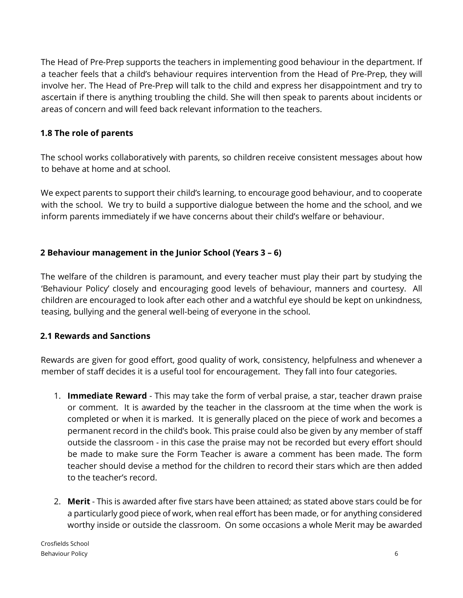The Head of Pre-Prep supports the teachers in implementing good behaviour in the department. If a teacher feels that a child's behaviour requires intervention from the Head of Pre-Prep, they will involve her. The Head of Pre-Prep will talk to the child and express her disappointment and try to ascertain if there is anything troubling the child. She will then speak to parents about incidents or areas of concern and will feed back relevant information to the teachers.

#### **1.8 The role of parents**

The school works collaboratively with parents, so children receive consistent messages about how to behave at home and at school.

We expect parents to support their child's learning, to encourage good behaviour, and to cooperate with the school. We try to build a supportive dialogue between the home and the school, and we inform parents immediately if we have concerns about their child's welfare or behaviour.

### **2 Behaviour management in the Junior School (Years 3 – 6)**

The welfare of the children is paramount, and every teacher must play their part by studying the 'Behaviour Policy' closely and encouraging good levels of behaviour, manners and courtesy. All children are encouraged to look after each other and a watchful eye should be kept on unkindness, teasing, bullying and the general well-being of everyone in the school.

### **2.1 Rewards and Sanctions**

Rewards are given for good effort, good quality of work, consistency, helpfulness and whenever a member of staff decides it is a useful tool for encouragement. They fall into four categories.

- 1. **Immediate Reward** This may take the form of verbal praise, a star, teacher drawn praise or comment. It is awarded by the teacher in the classroom at the time when the work is completed or when it is marked. It is generally placed on the piece of work and becomes a permanent record in the child's book. This praise could also be given by any member of staff outside the classroom - in this case the praise may not be recorded but every effort should be made to make sure the Form Teacher is aware a comment has been made. The form teacher should devise a method for the children to record their stars which are then added to the teacher's record.
- 2. **Merit** This is awarded after five stars have been attained; as stated above stars could be for a particularly good piece of work, when real effort has been made, or for anything considered worthy inside or outside the classroom. On some occasions a whole Merit may be awarded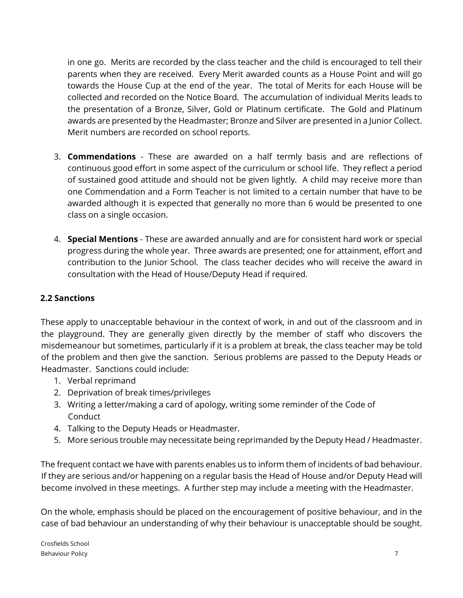in one go. Merits are recorded by the class teacher and the child is encouraged to tell their parents when they are received. Every Merit awarded counts as a House Point and will go towards the House Cup at the end of the year. The total of Merits for each House will be collected and recorded on the Notice Board. The accumulation of individual Merits leads to the presentation of a Bronze, Silver, Gold or Platinum certificate. The Gold and Platinum awards are presented by the Headmaster; Bronze and Silver are presented in a Junior Collect. Merit numbers are recorded on school reports.

- 3. **Commendations** These are awarded on a half termly basis and are reflections of continuous good effort in some aspect of the curriculum or school life. They reflect a period of sustained good attitude and should not be given lightly. A child may receive more than one Commendation and a Form Teacher is not limited to a certain number that have to be awarded although it is expected that generally no more than 6 would be presented to one class on a single occasion.
- 4. **Special Mentions** These are awarded annually and are for consistent hard work or special progress during the whole year. Three awards are presented; one for attainment, effort and contribution to the Junior School. The class teacher decides who will receive the award in consultation with the Head of House/Deputy Head if required.

## **2.2 Sanctions**

These apply to unacceptable behaviour in the context of work, in and out of the classroom and in the playground. They are generally given directly by the member of staff who discovers the misdemeanour but sometimes, particularly if it is a problem at break, the class teacher may be told of the problem and then give the sanction. Serious problems are passed to the Deputy Heads or Headmaster. Sanctions could include:

- 1. Verbal reprimand
- 2. Deprivation of break times/privileges
- 3. Writing a letter/making a card of apology, writing some reminder of the Code of **Conduct**
- 4. Talking to the Deputy Heads or Headmaster.
- 5. More serious trouble may necessitate being reprimanded by the Deputy Head / Headmaster.

The frequent contact we have with parents enables us to inform them of incidents of bad behaviour. If they are serious and/or happening on a regular basis the Head of House and/or Deputy Head will become involved in these meetings. A further step may include a meeting with the Headmaster.

On the whole, emphasis should be placed on the encouragement of positive behaviour, and in the case of bad behaviour an understanding of why their behaviour is unacceptable should be sought.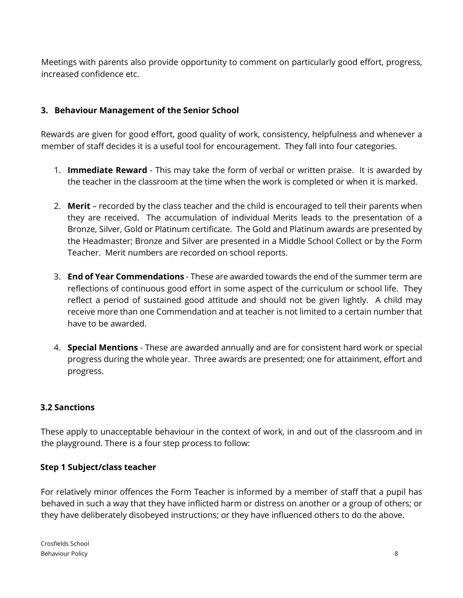Meetings with parents also provide opportunity to comment on particularly good effort, progress, increased confidence etc.

#### **3. Behaviour Management of the Senior School**

Rewards are given for good effort, good quality of work, consistency, helpfulness and whenever a member of staff decides it is a useful tool for encouragement. They fall into four categories.

- 1. **Immediate Reward** This may take the form of verbal or written praise. It is awarded by the teacher in the classroom at the time when the work is completed or when it is marked.
- 2. **Merit** recorded by the class teacher and the child is encouraged to tell their parents when they are received. The accumulation of individual Merits leads to the presentation of a Bronze, Silver, Gold or Platinum certificate. The Gold and Platinum awards are presented by the Headmaster; Bronze and Silver are presented in a Middle School Collect or by the Form Teacher. Merit numbers are recorded on school reports.
- 3. **End of Year Commendations** These are awarded towards the end of the summer term are reflections of continuous good effort in some aspect of the curriculum or school life. They reflect a period of sustained good attitude and should not be given lightly. A child may receive more than one Commendation and at teacher is not limited to a certain number that have to be awarded.
- 4. **Special Mentions** These are awarded annually and are for consistent hard work or special progress during the whole year. Three awards are presented; one for attainment, effort and progress.

### **3.2 Sanctions**

These apply to unacceptable behaviour in the context of work, in and out of the classroom and in the playground. There is a four step process to follow:

#### **Step 1 Subject/class teacher**

For relatively minor offences the Form Teacher is informed by a member of staff that a pupil has behaved in such a way that they have inflicted harm or distress on another or a group of others; or they have deliberately disobeyed instructions; or they have influenced others to do the above.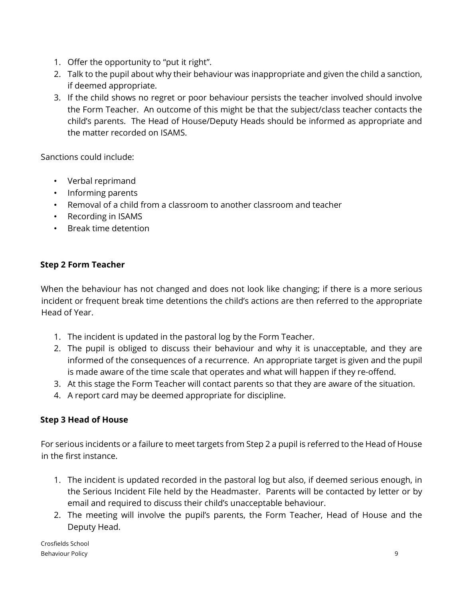- 1. Offer the opportunity to "put it right".
- 2. Talk to the pupil about why their behaviour was inappropriate and given the child a sanction, if deemed appropriate.
- 3. If the child shows no regret or poor behaviour persists the teacher involved should involve the Form Teacher. An outcome of this might be that the subject/class teacher contacts the child's parents. The Head of House/Deputy Heads should be informed as appropriate and the matter recorded on ISAMS.

Sanctions could include:

- Verbal reprimand
- Informing parents
- Removal of a child from a classroom to another classroom and teacher
- Recording in ISAMS
- Break time detention

### **Step 2 Form Teacher**

When the behaviour has not changed and does not look like changing; if there is a more serious incident or frequent break time detentions the child's actions are then referred to the appropriate Head of Year.

- 1. The incident is updated in the pastoral log by the Form Teacher.
- 2. The pupil is obliged to discuss their behaviour and why it is unacceptable, and they are informed of the consequences of a recurrence. An appropriate target is given and the pupil is made aware of the time scale that operates and what will happen if they re-offend.
- 3. At this stage the Form Teacher will contact parents so that they are aware of the situation.
- 4. A report card may be deemed appropriate for discipline.

### **Step 3 Head of House**

For serious incidents or a failure to meet targets from Step 2 a pupil is referred to the Head of House in the first instance.

- 1. The incident is updated recorded in the pastoral log but also, if deemed serious enough, in the Serious Incident File held by the Headmaster. Parents will be contacted by letter or by email and required to discuss their child's unacceptable behaviour.
- 2. The meeting will involve the pupil's parents, the Form Teacher, Head of House and the Deputy Head.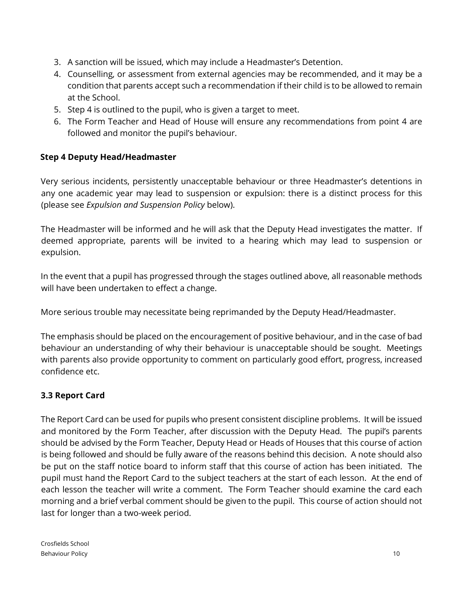- 3. A sanction will be issued, which may include a Headmaster's Detention.
- 4. Counselling, or assessment from external agencies may be recommended, and it may be a condition that parents accept such a recommendation if their child is to be allowed to remain at the School.
- 5. Step 4 is outlined to the pupil, who is given a target to meet.
- 6. The Form Teacher and Head of House will ensure any recommendations from point 4 are followed and monitor the pupil's behaviour.

## **Step 4 Deputy Head/Headmaster**

Very serious incidents, persistently unacceptable behaviour or three Headmaster's detentions in any one academic year may lead to suspension or expulsion: there is a distinct process for this (please see *Expulsion and Suspension Policy* below).

The Headmaster will be informed and he will ask that the Deputy Head investigates the matter. If deemed appropriate, parents will be invited to a hearing which may lead to suspension or expulsion.

In the event that a pupil has progressed through the stages outlined above, all reasonable methods will have been undertaken to effect a change.

More serious trouble may necessitate being reprimanded by the Deputy Head/Headmaster.

The emphasis should be placed on the encouragement of positive behaviour, and in the case of bad behaviour an understanding of why their behaviour is unacceptable should be sought. Meetings with parents also provide opportunity to comment on particularly good effort, progress, increased confidence etc.

# **3.3 Report Card**

The Report Card can be used for pupils who present consistent discipline problems. It will be issued and monitored by the Form Teacher, after discussion with the Deputy Head. The pupil's parents should be advised by the Form Teacher, Deputy Head or Heads of Houses that this course of action is being followed and should be fully aware of the reasons behind this decision. A note should also be put on the staff notice board to inform staff that this course of action has been initiated. The pupil must hand the Report Card to the subject teachers at the start of each lesson. At the end of each lesson the teacher will write a comment. The Form Teacher should examine the card each morning and a brief verbal comment should be given to the pupil. This course of action should not last for longer than a two-week period.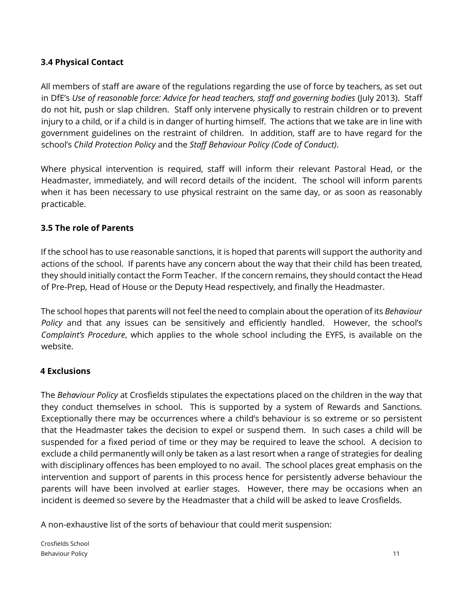## **3.4 Physical Contact**

All members of staff are aware of the regulations regarding the use of force by teachers, as set out in DfE's Use of reasonable force: Advice for head teachers, staff and governing bodies (July 2013). Staff do not hit, push or slap children. Staff only intervene physically to restrain children or to prevent injury to a child, or if a child is in danger of hurting himself. The actions that we take are in line with government guidelines on the restraint of children. In addition, staff are to have regard for the school's *Child Protection Policy* and the *Staff Behaviour Policy (Code of Conduct)*.

Where physical intervention is required, staff will inform their relevant Pastoral Head, or the Headmaster, immediately, and will record details of the incident. The school will inform parents when it has been necessary to use physical restraint on the same day, or as soon as reasonably practicable.

### **3.5 The role of Parents**

If the school has to use reasonable sanctions, it is hoped that parents will support the authority and actions of the school. If parents have any concern about the way that their child has been treated, they should initially contact the Form Teacher. If the concern remains, they should contact the Head of Pre-Prep, Head of House or the Deputy Head respectively, and finally the Headmaster.

The school hopes that parents will not feel the need to complain about the operation of its *Behaviour Policy* and that any issues can be sensitively and efficiently handled. However, the school's *Complaint's Procedure*, which applies to the whole school including the EYFS, is available on the website.

### **4 Exclusions**

The *Behaviour Policy* at Crosfields stipulates the expectations placed on the children in the way that they conduct themselves in school. This is supported by a system of Rewards and Sanctions. Exceptionally there may be occurrences where a child's behaviour is so extreme or so persistent that the Headmaster takes the decision to expel or suspend them. In such cases a child will be suspended for a fixed period of time or they may be required to leave the school. A decision to exclude a child permanently will only be taken as a last resort when a range of strategies for dealing with disciplinary offences has been employed to no avail. The school places great emphasis on the intervention and support of parents in this process hence for persistently adverse behaviour the parents will have been involved at earlier stages. However, there may be occasions when an incident is deemed so severe by the Headmaster that a child will be asked to leave Crosfields.

A non-exhaustive list of the sorts of behaviour that could merit suspension: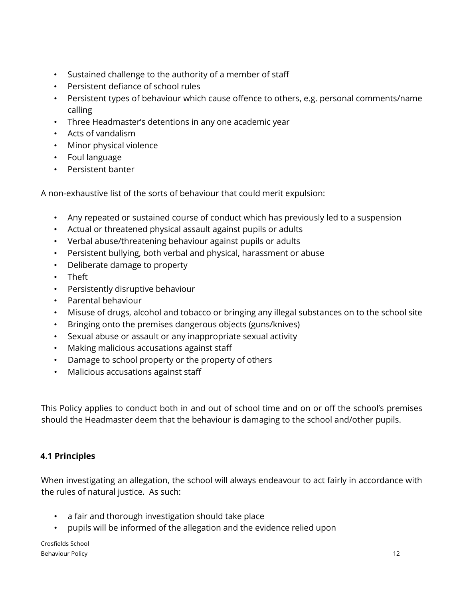- Sustained challenge to the authority of a member of staff
- Persistent defiance of school rules
- Persistent types of behaviour which cause offence to others, e.g. personal comments/name calling
- Three Headmaster's detentions in any one academic year
- Acts of vandalism
- Minor physical violence
- Foul language
- Persistent banter

A non-exhaustive list of the sorts of behaviour that could merit expulsion:

- Any repeated or sustained course of conduct which has previously led to a suspension
- Actual or threatened physical assault against pupils or adults
- Verbal abuse/threatening behaviour against pupils or adults
- Persistent bullying, both verbal and physical, harassment or abuse
- Deliberate damage to property
- Theft
- Persistently disruptive behaviour
- Parental behaviour
- Misuse of drugs, alcohol and tobacco or bringing any illegal substances on to the school site
- Bringing onto the premises dangerous objects (guns/knives)
- Sexual abuse or assault or any inappropriate sexual activity
- Making malicious accusations against staff
- Damage to school property or the property of others
- Malicious accusations against staff

This Policy applies to conduct both in and out of school time and on or off the school's premises should the Headmaster deem that the behaviour is damaging to the school and/other pupils.

# **4.1 Principles**

When investigating an allegation, the school will always endeavour to act fairly in accordance with the rules of natural justice. As such:

- a fair and thorough investigation should take place
- pupils will be informed of the allegation and the evidence relied upon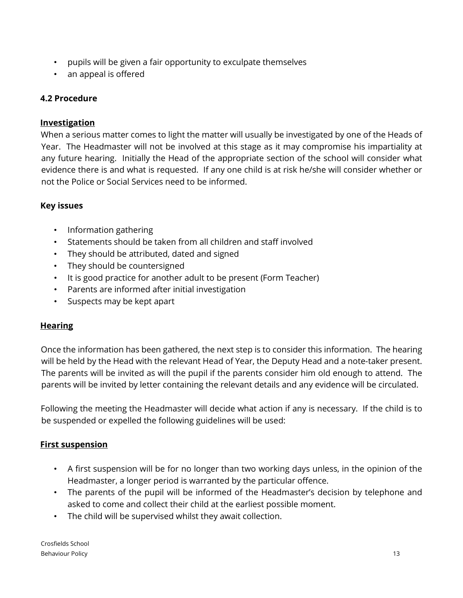- pupils will be given a fair opportunity to exculpate themselves
- an appeal is offered

### **4.2 Procedure**

#### **Investigation**

When a serious matter comes to light the matter will usually be investigated by one of the Heads of Year. The Headmaster will not be involved at this stage as it may compromise his impartiality at any future hearing. Initially the Head of the appropriate section of the school will consider what evidence there is and what is requested. If any one child is at risk he/she will consider whether or not the Police or Social Services need to be informed.

### **Key issues**

- Information gathering
- Statements should be taken from all children and staff involved
- They should be attributed, dated and signed
- They should be countersigned
- It is good practice for another adult to be present (Form Teacher)
- Parents are informed after initial investigation
- Suspects may be kept apart

### **Hearing**

Once the information has been gathered, the next step is to consider this information. The hearing will be held by the Head with the relevant Head of Year, the Deputy Head and a note-taker present. The parents will be invited as will the pupil if the parents consider him old enough to attend. The parents will be invited by letter containing the relevant details and any evidence will be circulated.

Following the meeting the Headmaster will decide what action if any is necessary. If the child is to be suspended or expelled the following guidelines will be used:

### **First suspension**

- A first suspension will be for no longer than two working days unless, in the opinion of the Headmaster, a longer period is warranted by the particular offence.
- The parents of the pupil will be informed of the Headmaster's decision by telephone and asked to come and collect their child at the earliest possible moment.
- The child will be supervised whilst they await collection.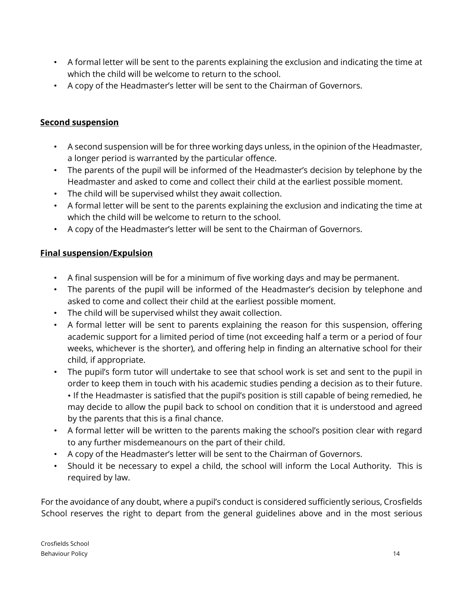- A formal letter will be sent to the parents explaining the exclusion and indicating the time at which the child will be welcome to return to the school.
- A copy of the Headmaster's letter will be sent to the Chairman of Governors.

#### **Second suspension**

- A second suspension will be for three working days unless, in the opinion of the Headmaster, a longer period is warranted by the particular offence.
- The parents of the pupil will be informed of the Headmaster's decision by telephone by the Headmaster and asked to come and collect their child at the earliest possible moment.
- The child will be supervised whilst they await collection.
- A formal letter will be sent to the parents explaining the exclusion and indicating the time at which the child will be welcome to return to the school.
- A copy of the Headmaster's letter will be sent to the Chairman of Governors.

#### **Final suspension/Expulsion**

- A final suspension will be for a minimum of five working days and may be permanent.
- The parents of the pupil will be informed of the Headmaster's decision by telephone and asked to come and collect their child at the earliest possible moment.
- The child will be supervised whilst they await collection.
- A formal letter will be sent to parents explaining the reason for this suspension, offering academic support for a limited period of time (not exceeding half a term or a period of four weeks, whichever is the shorter), and offering help in finding an alternative school for their child, if appropriate.
- The pupil's form tutor will undertake to see that school work is set and sent to the pupil in order to keep them in touch with his academic studies pending a decision as to their future. • If the Headmaster is satisfied that the pupil's position is still capable of being remedied, he may decide to allow the pupil back to school on condition that it is understood and agreed by the parents that this is a final chance.
- A formal letter will be written to the parents making the school's position clear with regard to any further misdemeanours on the part of their child.
- A copy of the Headmaster's letter will be sent to the Chairman of Governors.
- Should it be necessary to expel a child, the school will inform the Local Authority. This is required by law.

For the avoidance of any doubt, where a pupil's conduct is considered sufficiently serious, Crosfields School reserves the right to depart from the general guidelines above and in the most serious